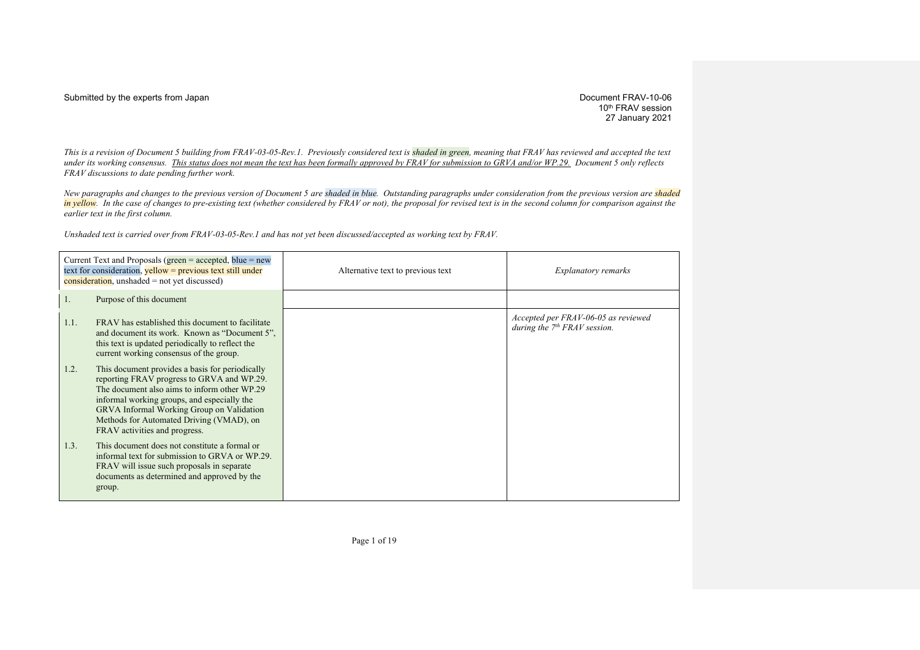10<sup>th</sup> FRAV session 27 January 2021

*This is a revision of Document 5 building from FRAV-03-05-Rev.1. Previously considered text is shaded in green, meaning that FRAV has reviewed and accepted the text under its working consensus. This status does not mean the text has been formally approved by FRAV for submission to GRVA and/or WP.29. Document 5 only reflects FRAV discussions to date pending further work.*

*New paragraphs and changes to the previous version of Document 5 are shaded in blue. Outstanding paragraphs under consideration from the previous version are shaded in yellow.* In the case of changes to pre-existing text (whether considered by FRAV or not), the proposal for revised text is in the second column for comparison against the *earlier text in the first column.*

*Unshaded text is carried over from FRAV-03-05-Rev.1 and has not yet been discussed/accepted as working text by FRAV.*

|      | Current Text and Proposals (green $=$ accepted, blue $=$ new<br>text for consideration, $yellow = previous text still under$<br>$\overline{\text{consideration}}$ , unshaded = not yet discussed)                                                                                                                             | Alternative text to previous text | <i>Explanatory remarks</i>                                            |
|------|-------------------------------------------------------------------------------------------------------------------------------------------------------------------------------------------------------------------------------------------------------------------------------------------------------------------------------|-----------------------------------|-----------------------------------------------------------------------|
| 1.   | Purpose of this document                                                                                                                                                                                                                                                                                                      |                                   |                                                                       |
| 1.1. | FRAV has established this document to facilitate<br>and document its work. Known as "Document 5",<br>this text is updated periodically to reflect the<br>current working consensus of the group.                                                                                                                              |                                   | Accepted per FRAV-06-05 as reviewed<br>during the $7th FRAV$ session. |
| 1.2. | This document provides a basis for periodically<br>reporting FRAV progress to GRVA and WP.29.<br>The document also aims to inform other WP.29<br>informal working groups, and especially the<br><b>GRVA Informal Working Group on Validation</b><br>Methods for Automated Driving (VMAD), on<br>FRAV activities and progress. |                                   |                                                                       |
| 1.3. | This document does not constitute a formal or<br>informal text for submission to GRVA or WP.29.<br>FRAV will issue such proposals in separate<br>documents as determined and approved by the<br>group.                                                                                                                        |                                   |                                                                       |

Page 1 of 19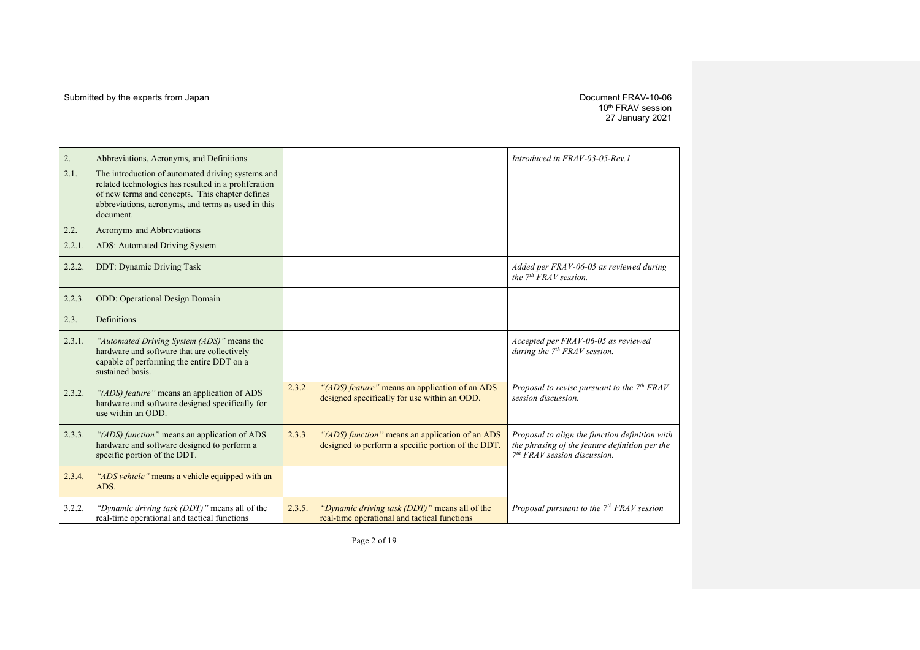10th FRAV session 27 January 2021

| 2.     | Abbreviations, Acronyms, and Definitions                                                                                                                                                                                        |                                                                                                                 | Introduced in FRAV-03-05-Rev.1                                                                                                     |
|--------|---------------------------------------------------------------------------------------------------------------------------------------------------------------------------------------------------------------------------------|-----------------------------------------------------------------------------------------------------------------|------------------------------------------------------------------------------------------------------------------------------------|
| 2.1.   | The introduction of automated driving systems and<br>related technologies has resulted in a proliferation<br>of new terms and concepts. This chapter defines<br>abbreviations, acronyms, and terms as used in this<br>document. |                                                                                                                 |                                                                                                                                    |
| 2.2.   | Acronyms and Abbreviations                                                                                                                                                                                                      |                                                                                                                 |                                                                                                                                    |
| 2.2.1. | ADS: Automated Driving System                                                                                                                                                                                                   |                                                                                                                 |                                                                                                                                    |
| 2.2.2. | <b>DDT: Dynamic Driving Task</b>                                                                                                                                                                                                |                                                                                                                 | Added per FRAV-06-05 as reviewed during<br>the $7th FRAV session$ .                                                                |
| 2.2.3. | <b>ODD:</b> Operational Design Domain                                                                                                                                                                                           |                                                                                                                 |                                                                                                                                    |
| 2.3.   | Definitions                                                                                                                                                                                                                     |                                                                                                                 |                                                                                                                                    |
| 2.3.1. | "Automated Driving System (ADS)" means the<br>hardware and software that are collectively<br>capable of performing the entire DDT on a<br>sustained basis.                                                                      |                                                                                                                 | Accepted per FRAV-06-05 as reviewed<br>during the $7th FRAV$ session.                                                              |
| 2.3.2. | "(ADS) feature" means an application of ADS<br>hardware and software designed specifically for<br>use within an ODD.                                                                                                            | 2.3.2.<br>"(ADS) feature" means an application of an ADS<br>designed specifically for use within an ODD.        | Proposal to revise pursuant to the $7th FRAV$<br>session discussion.                                                               |
| 2.3.3. | "(ADS) function" means an application of ADS<br>hardware and software designed to perform a<br>specific portion of the DDT.                                                                                                     | 2.3.3.<br>"(ADS) function" means an application of an ADS<br>designed to perform a specific portion of the DDT. | Proposal to align the function definition with<br>the phrasing of the feature definition per the<br>$7th FRAV session discussion.$ |
| 2.3.4. | "ADS vehicle" means a vehicle equipped with an<br>ADS.                                                                                                                                                                          |                                                                                                                 |                                                                                                                                    |
| 3.2.2. | "Dynamic driving task (DDT)" means all of the<br>real-time operational and tactical functions                                                                                                                                   | 2.3.5.<br>"Dynamic driving task (DDT)" means all of the<br>real-time operational and tactical functions         | Proposal pursuant to the $7th FRAV$ session                                                                                        |

Page 2 of 19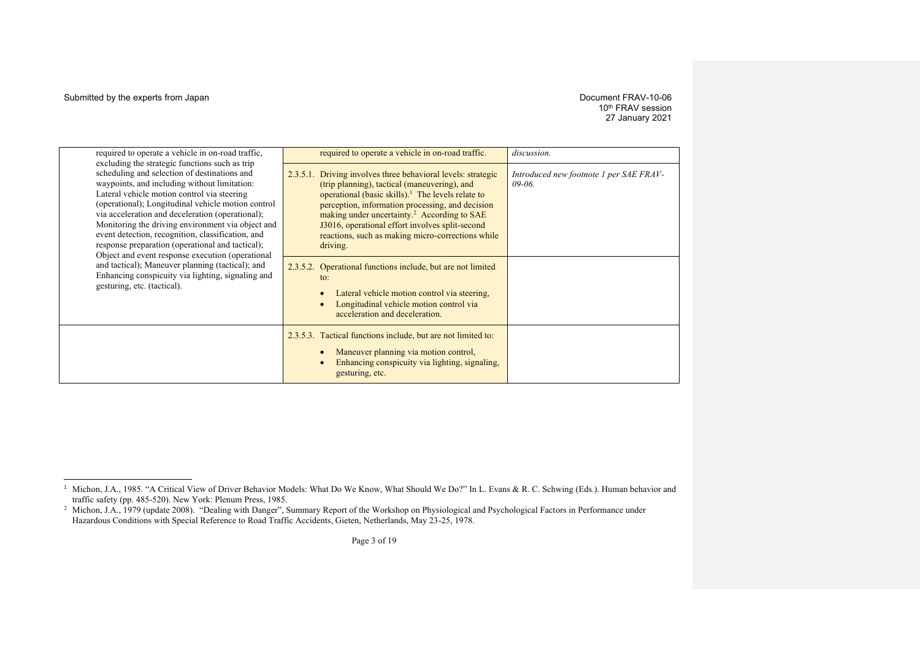# 10<sup>th</sup> FRAV session 27 January 2021

| required to operate a vehicle in on-road traffic,                                                                                                                                                                                                                                                                                                                                                                                                                                                                                                                                                                                                                 | required to operate a vehicle in on-road traffic.                                                                                                                                                                                                                                                                                                                                                                                                                                                                                                                                                                         | discussion.                                         |
|-------------------------------------------------------------------------------------------------------------------------------------------------------------------------------------------------------------------------------------------------------------------------------------------------------------------------------------------------------------------------------------------------------------------------------------------------------------------------------------------------------------------------------------------------------------------------------------------------------------------------------------------------------------------|---------------------------------------------------------------------------------------------------------------------------------------------------------------------------------------------------------------------------------------------------------------------------------------------------------------------------------------------------------------------------------------------------------------------------------------------------------------------------------------------------------------------------------------------------------------------------------------------------------------------------|-----------------------------------------------------|
| excluding the strategic functions such as trip<br>scheduling and selection of destinations and<br>waypoints, and including without limitation:<br>Lateral vehicle motion control via steering<br>(operational); Longitudinal vehicle motion control<br>via acceleration and deceleration (operational);<br>Monitoring the driving environment via object and<br>event detection, recognition, classification, and<br>response preparation (operational and tactical);<br>Object and event response execution (operational<br>and tactical); Maneuver planning (tactical); and<br>Enhancing conspicuity via lighting, signaling and<br>gesturing, etc. (tactical). | Driving involves three behavioral levels: strategic<br>2.3.5.1.<br>(trip planning), tactical (maneuvering), and<br>operational (basic skills). <sup>1</sup> The levels relate to<br>perception, information processing, and decision<br>making under uncertainty. <sup>2</sup> According to SAE<br>J3016, operational effort involves split-second<br>reactions, such as making micro-corrections while<br>driving.<br>Operational functions include, but are not limited<br>2.3.5.2.<br>to:<br>Lateral vehicle motion control via steering,<br>Longitudinal vehicle motion control via<br>acceleration and deceleration. | Introduced new footnote 1 per SAE FRAV-<br>$09-06.$ |
|                                                                                                                                                                                                                                                                                                                                                                                                                                                                                                                                                                                                                                                                   | 2.3.5.3. Tactical functions include, but are not limited to:<br>Maneuver planning via motion control,<br>Enhancing conspicuity via lighting, signaling,<br>gesturing, etc.                                                                                                                                                                                                                                                                                                                                                                                                                                                |                                                     |

<sup>&</sup>lt;sup>1</sup> Michon, J.A., 1985. "A Critical View of Driver Behavior Models: What Do We Know, What Should We Do?" In L. Evans & R. C. Schwing (Eds.). Human behavior and traffic safety (pp. 485-520). New York: Plenum Press, 1985.

<sup>&</sup>lt;sup>2</sup> Michon, J.A., 1979 (update 2008). "Dealing with Danger", Summary Report of the Workshop on Physiological and Psychological Factors in Performance under Hazardous Conditions with Special Reference to Road Traffic Accidents, Gieten, Netherlands, May 23-25, 1978.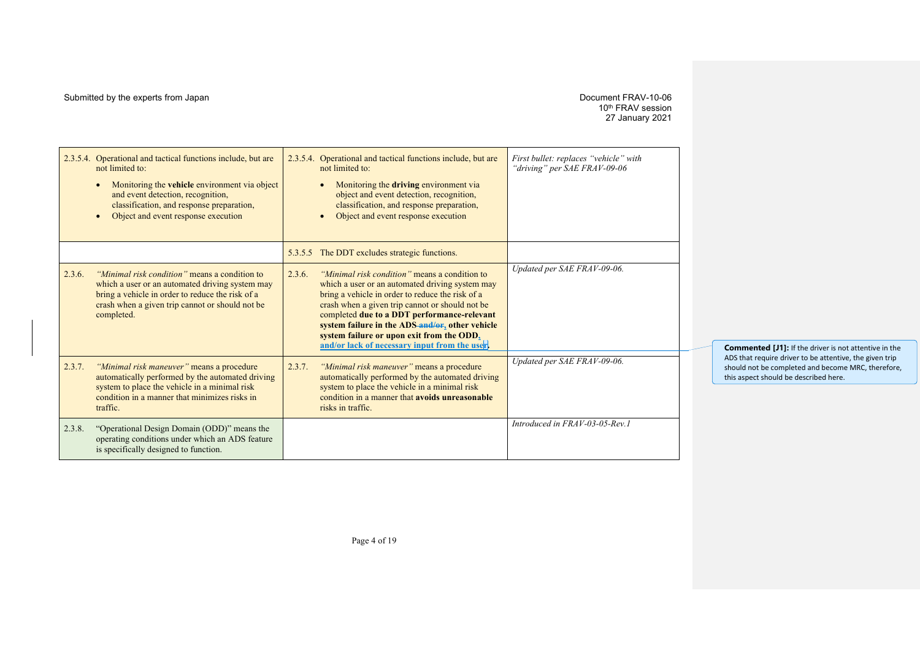## Submitted by the experts from Japan details and the experts from Japan Document FRAV-10-06

# 10th FRAV session 27 January 2021

|        | 2.3.5.4. Operational and tactical functions include, but are<br>not limited to:<br>Monitoring the <b>vehicle</b> environment via object<br>and event detection, recognition,<br>classification, and response preparation,<br>Object and event response execution<br>$\bullet$ | 2.3.5.4. Operational and tactical functions include, but are<br>not limited to:<br>Monitoring the driving environment via<br>object and event detection, recognition,<br>classification, and response preparation,<br>Object and event response execution                                                                                                                                                         | First bullet: replaces "vehicle" with<br>"driving" per SAE FRAV-09-06 |                                                                                                                                                        |
|--------|-------------------------------------------------------------------------------------------------------------------------------------------------------------------------------------------------------------------------------------------------------------------------------|-------------------------------------------------------------------------------------------------------------------------------------------------------------------------------------------------------------------------------------------------------------------------------------------------------------------------------------------------------------------------------------------------------------------|-----------------------------------------------------------------------|--------------------------------------------------------------------------------------------------------------------------------------------------------|
|        |                                                                                                                                                                                                                                                                               | 5.3.5.5 The DDT excludes strategic functions.                                                                                                                                                                                                                                                                                                                                                                     |                                                                       |                                                                                                                                                        |
| 2.3.6. | "Minimal risk condition" means a condition to<br>which a user or an automated driving system may<br>bring a vehicle in order to reduce the risk of a<br>crash when a given trip cannot or should not be<br>completed.                                                         | "Minimal risk condition" means a condition to<br>2.3.6.<br>which a user or an automated driving system may<br>bring a vehicle in order to reduce the risk of a<br>crash when a given trip cannot or should not be<br>completed due to a DDT performance-relevant<br>system failure in the ADS-and/or, other vehicle<br>system failure or upon exit from the ODD.<br>and/or lack of necessary input from the user. | Updated per SAE FRAV-09-06.                                           | <b>Commented [J1]:</b> If the driver is not attentive in the                                                                                           |
| 2.3.7. | "Minimal risk maneuver" means a procedure<br>automatically performed by the automated driving<br>system to place the vehicle in a minimal risk<br>condition in a manner that minimizes risks in<br>traffic.                                                                   | "Minimal risk maneuver" means a procedure<br>2.3.7.<br>automatically performed by the automated driving<br>system to place the vehicle in a minimal risk<br>condition in a manner that avoids unreasonable<br>risks in traffic.                                                                                                                                                                                   | Updated per SAE FRAV-09-06.                                           | ADS that require driver to be attentive, the given trip<br>should not be completed and become MRC, therefore,<br>this aspect should be described here. |
| 2.3.8. | "Operational Design Domain (ODD)" means the<br>operating conditions under which an ADS feature<br>is specifically designed to function.                                                                                                                                       |                                                                                                                                                                                                                                                                                                                                                                                                                   | Introduced in FRAV-03-05-Rev.1                                        |                                                                                                                                                        |

Page 4 of 19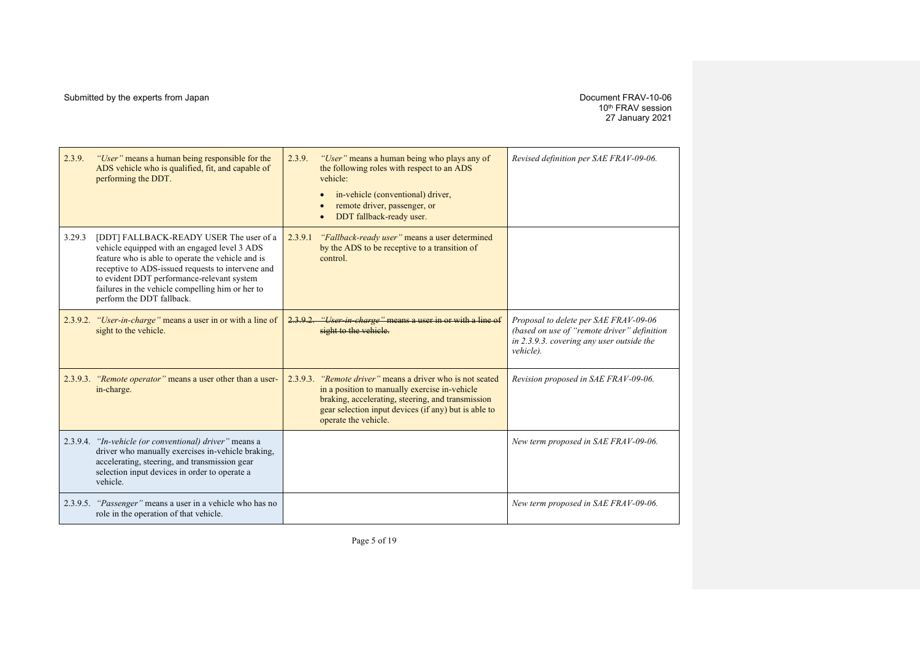10th FRAV session 27 January 2021

| 2.3.9.   | "User" means a human being responsible for the<br>ADS vehicle who is qualified, fit, and capable of<br>performing the DDT.                                                                                                                                                                                                       | 2.3.9.   | "User" means a human being who plays any of<br>the following roles with respect to an ADS<br>vehicle:<br>in-vehicle (conventional) driver,<br>remote driver, passenger, or<br>DDT fallback-ready user.                                        | Revised definition per SAE FRAV-09-06.                                                                                                         |
|----------|----------------------------------------------------------------------------------------------------------------------------------------------------------------------------------------------------------------------------------------------------------------------------------------------------------------------------------|----------|-----------------------------------------------------------------------------------------------------------------------------------------------------------------------------------------------------------------------------------------------|------------------------------------------------------------------------------------------------------------------------------------------------|
| 3.29.3   | [DDT] FALLBACK-READY USER The user of a<br>vehicle equipped with an engaged level 3 ADS<br>feature who is able to operate the vehicle and is<br>receptive to ADS-issued requests to intervene and<br>to evident DDT performance-relevant system<br>failures in the vehicle compelling him or her to<br>perform the DDT fallback. | 2.3.9.1  | "Fallback-ready user" means a user determined<br>by the ADS to be receptive to a transition of<br>control.                                                                                                                                    |                                                                                                                                                |
|          | 2.3.9.2. "User-in-charge" means a user in or with a line of<br>sight to the vehicle.                                                                                                                                                                                                                                             |          | 2.3.9.2. "User in charge" means a user in or with a line of<br>sight to the vehicle.                                                                                                                                                          | Proposal to delete per SAE FRAV-09-06<br>(based on use of "remote driver" definition<br>in 2.3.9.3. covering any user outside the<br>vehicle). |
|          | 2.3.9.3. "Remote operator" means a user other than a user-<br>in-charge.                                                                                                                                                                                                                                                         | 2.3.9.3. | <i>"Remote driver"</i> means a driver who is not seated<br>in a position to manually exercise in-vehicle<br>braking, accelerating, steering, and transmission<br>gear selection input devices (if any) but is able to<br>operate the vehicle. | Revision proposed in SAE FRAV-09-06.                                                                                                           |
|          | 2.3.9.4. "In-vehicle (or conventional) driver" means a<br>driver who manually exercises in-vehicle braking,<br>accelerating, steering, and transmission gear<br>selection input devices in order to operate a<br>vehicle.                                                                                                        |          |                                                                                                                                                                                                                                               | New term proposed in SAE FRAV-09-06.                                                                                                           |
| 2.3.9.5. | "Passenger" means a user in a vehicle who has no<br>role in the operation of that vehicle.                                                                                                                                                                                                                                       |          |                                                                                                                                                                                                                                               | New term proposed in SAE FRAV-09-06.                                                                                                           |

Page 5 of 19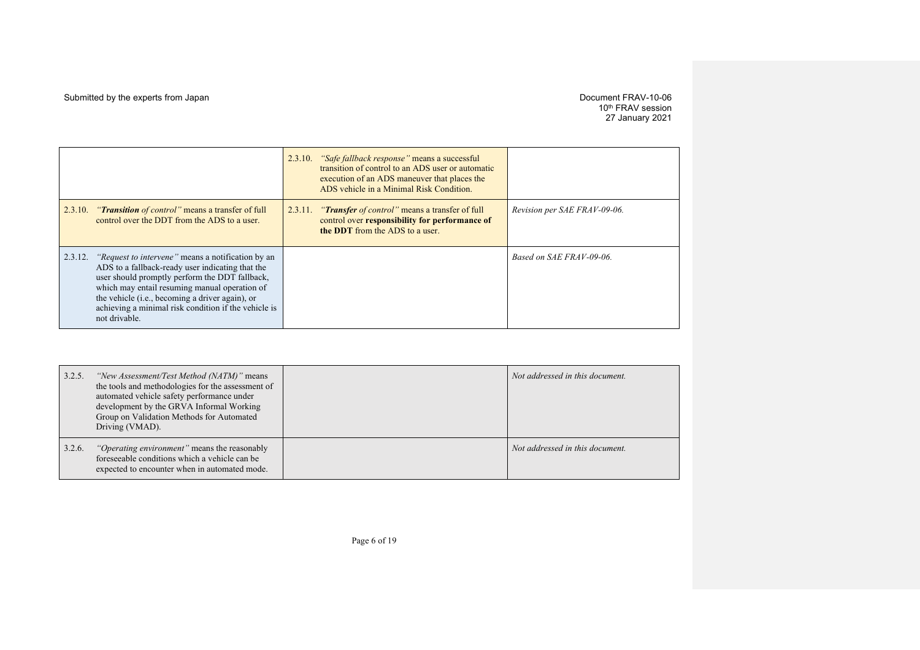10th FRAV session 27 January 2021

|         |                                                                                                                                                                                                                                                                                                                                                      | 2.3.10. "Safe fallback response" means a successful<br>transition of control to an ADS user or automatic<br>execution of an ADS maneuver that places the<br>ADS vehicle in a Minimal Risk Condition. |                              |
|---------|------------------------------------------------------------------------------------------------------------------------------------------------------------------------------------------------------------------------------------------------------------------------------------------------------------------------------------------------------|------------------------------------------------------------------------------------------------------------------------------------------------------------------------------------------------------|------------------------------|
| 2.3.10. | <i>"Transition of control"</i> means a transfer of full<br>control over the DDT from the ADS to a user.                                                                                                                                                                                                                                              | 2.3.11. "Transfer of control" means a transfer of full<br>control over responsibility for performance of<br>the DDT from the ADS to a user.                                                          | Revision per SAE FRAV-09-06. |
| 2.3.12. | <i>"Request to intervene"</i> means a notification by an<br>ADS to a fallback-ready user indicating that the<br>user should promptly perform the DDT fallback,<br>which may entail resuming manual operation of<br>the vehicle ( <i>i.e.</i> , becoming a driver again), or<br>achieving a minimal risk condition if the vehicle is<br>not drivable. |                                                                                                                                                                                                      | Based on SAE FRAV-09-06.     |

| 3.2.5. | "New Assessment/Test Method (NATM)" means<br>the tools and methodologies for the assessment of<br>automated vehicle safety performance under<br>development by the GRVA Informal Working<br>Group on Validation Methods for Automated<br>Driving (VMAD). | Not addressed in this document. |
|--------|----------------------------------------------------------------------------------------------------------------------------------------------------------------------------------------------------------------------------------------------------------|---------------------------------|
| 3.2.6. | <i>"Operating environment"</i> means the reasonably<br>foreseeable conditions which a vehicle can be<br>expected to encounter when in automated mode.                                                                                                    | Not addressed in this document. |

Page 6 of 19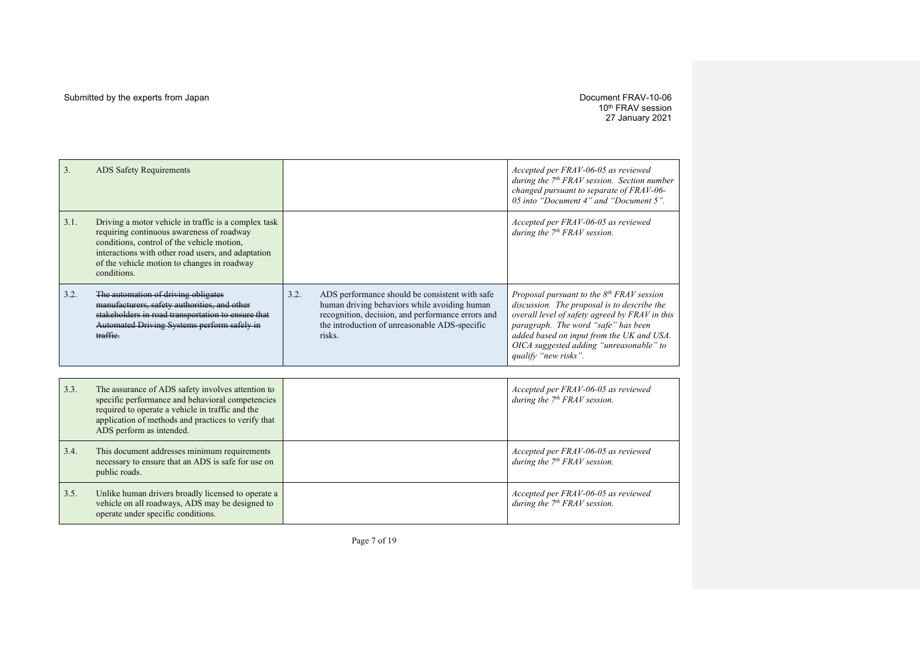#### Submitted by the experts from Japan details and the experts from Japan Document FRAV-10-06

10th FRAV session 27 January 2021

| 3.   | <b>ADS</b> Safety Requirements                                                                                                                                                                                                                                      |      |                                                                                                                                                                                                                | Accepted per FRAV-06-05 as reviewed<br>during the $7th FRAV session$ . Section number<br>changed pursuant to separate of FRAV-06-<br>05 into "Document 4" and "Document 5".                                                                                                                         |
|------|---------------------------------------------------------------------------------------------------------------------------------------------------------------------------------------------------------------------------------------------------------------------|------|----------------------------------------------------------------------------------------------------------------------------------------------------------------------------------------------------------------|-----------------------------------------------------------------------------------------------------------------------------------------------------------------------------------------------------------------------------------------------------------------------------------------------------|
| 3.1. | Driving a motor vehicle in traffic is a complex task<br>requiring continuous awareness of roadway<br>conditions, control of the vehicle motion,<br>interactions with other road users, and adaptation<br>of the vehicle motion to changes in roadway<br>conditions. |      |                                                                                                                                                                                                                | Accepted per FRAV-06-05 as reviewed<br>during the $7th FRAV$ session.                                                                                                                                                                                                                               |
| 3.2. | The automation of driving obligates<br>manufacturers, safety authorities, and other<br>stakeholders in road transportation to ensure that<br>Automated Driving Systems perform safely in<br>traffie.                                                                | 3.2. | ADS performance should be consistent with safe<br>human driving behaviors while avoiding human<br>recognition, decision, and performance errors and<br>the introduction of unreasonable ADS-specific<br>risks. | Proposal pursuant to the $8th FRAV$ session<br>discussion. The proposal is to describe the<br>overall level of safety agreed by FRAV in this<br>paragraph. The word "safe" has been<br>added based on input from the UK and USA.<br>OICA suggested adding "unreasonable" to<br>qualify "new risks". |
|      |                                                                                                                                                                                                                                                                     |      |                                                                                                                                                                                                                |                                                                                                                                                                                                                                                                                                     |
| 3.3. | The assurance of ADS safety involves attention to<br>specific performance and behavioral competencies<br>required to operate a vehicle in traffic and the<br>application of methods and practices to verify that<br>ADS perform as intended.                        |      |                                                                                                                                                                                                                | Accepted per FRAV-06-05 as reviewed<br>during the $7th FRAV$ session.                                                                                                                                                                                                                               |
| 3.4. | This document addresses minimum requirements<br>necessary to ensure that an ADS is safe for use on<br>public roads.                                                                                                                                                 |      |                                                                                                                                                                                                                | Accepted per FRAV-06-05 as reviewed<br>during the $7th FRAV$ session.                                                                                                                                                                                                                               |
| 3.5. | Unlike human drivers broadly licensed to operate a<br>vehicle on all roadways, ADS may be designed to<br>operate under specific conditions.                                                                                                                         |      |                                                                                                                                                                                                                | Accepted per FRAV-06-05 as reviewed<br>during the $7th FRAV$ session.                                                                                                                                                                                                                               |

Page 7 of 19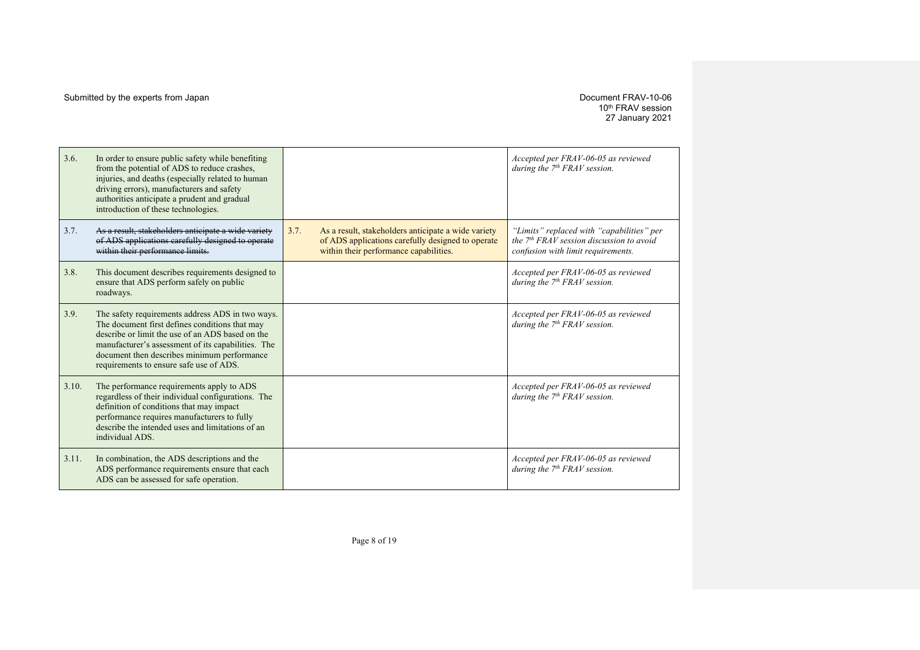# 10th FRAV session 27 January 2021

| 3.6.  | In order to ensure public safety while benefiting<br>from the potential of ADS to reduce crashes,<br>injuries, and deaths (especially related to human<br>driving errors), manufacturers and safety<br>authorities anticipate a prudent and gradual<br>introduction of these technologies.             |      |                                                                                                                                                    | Accepted per FRAV-06-05 as reviewed<br>during the $7th FRAV$ session.                                                         |
|-------|--------------------------------------------------------------------------------------------------------------------------------------------------------------------------------------------------------------------------------------------------------------------------------------------------------|------|----------------------------------------------------------------------------------------------------------------------------------------------------|-------------------------------------------------------------------------------------------------------------------------------|
| 3.7.  | As a result, stakeholders anticipate a wide variety<br>of ADS applications carefully designed to operate<br>within their performance limits.                                                                                                                                                           | 3.7. | As a result, stakeholders anticipate a wide variety<br>of ADS applications carefully designed to operate<br>within their performance capabilities. | "Limits" replaced with "capabilities" per<br>the $7th FRAV$ session discussion to avoid<br>confusion with limit requirements. |
| 3.8.  | This document describes requirements designed to<br>ensure that ADS perform safely on public<br>roadways.                                                                                                                                                                                              |      |                                                                                                                                                    | Accepted per FRAV-06-05 as reviewed<br>during the $7th FRAV$ session.                                                         |
| 3.9.  | The safety requirements address ADS in two ways.<br>The document first defines conditions that may<br>describe or limit the use of an ADS based on the<br>manufacturer's assessment of its capabilities. The<br>document then describes minimum performance<br>requirements to ensure safe use of ADS. |      |                                                                                                                                                    | Accepted per FRAV-06-05 as reviewed<br>during the $7th FRAV$ session.                                                         |
| 3.10. | The performance requirements apply to ADS<br>regardless of their individual configurations. The<br>definition of conditions that may impact<br>performance requires manufacturers to fully<br>describe the intended uses and limitations of an<br>individual ADS.                                      |      |                                                                                                                                                    | Accepted per FRAV-06-05 as reviewed<br>during the $7th FRAV$ session.                                                         |
| 3.11. | In combination, the ADS descriptions and the<br>ADS performance requirements ensure that each<br>ADS can be assessed for safe operation.                                                                                                                                                               |      |                                                                                                                                                    | Accepted per FRAV-06-05 as reviewed<br>during the $7th FRAV$ session.                                                         |

Page 8 of 19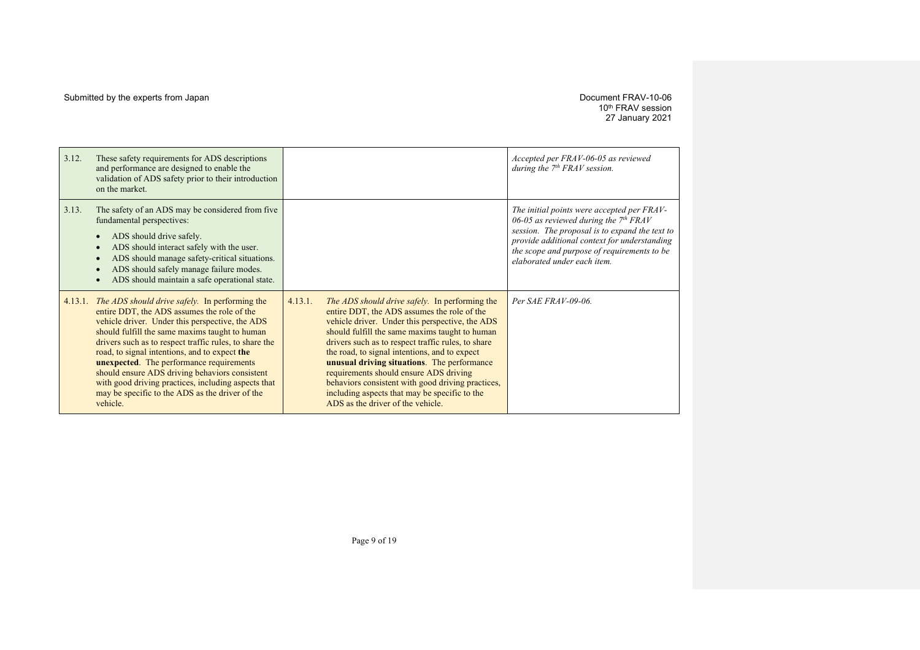10th FRAV session 27 January 2021

| 3.12.   | These safety requirements for ADS descriptions<br>and performance are designed to enable the<br>validation of ADS safety prior to their introduction<br>on the market.                                                                                                                                                                                                                                                                                                                                                                          |         |                                                                                                                                                                                                                                                                                                                                                                                                                                                                                                                                                      | Accepted per FRAV-06-05 as reviewed<br>during the $7th FRAV$ session.                                                                                                                                                                                                 |
|---------|-------------------------------------------------------------------------------------------------------------------------------------------------------------------------------------------------------------------------------------------------------------------------------------------------------------------------------------------------------------------------------------------------------------------------------------------------------------------------------------------------------------------------------------------------|---------|------------------------------------------------------------------------------------------------------------------------------------------------------------------------------------------------------------------------------------------------------------------------------------------------------------------------------------------------------------------------------------------------------------------------------------------------------------------------------------------------------------------------------------------------------|-----------------------------------------------------------------------------------------------------------------------------------------------------------------------------------------------------------------------------------------------------------------------|
| 3.13.   | The safety of an ADS may be considered from five<br>fundamental perspectives:<br>ADS should drive safely.<br>ADS should interact safely with the user.<br>ADS should manage safety-critical situations.<br>ADS should safely manage failure modes.<br>ADS should maintain a safe operational state.                                                                                                                                                                                                                                             |         |                                                                                                                                                                                                                                                                                                                                                                                                                                                                                                                                                      | The initial points were accepted per FRAV-<br>06-05 as reviewed during the $7th FRAV$<br>session. The proposal is to expand the text to<br>provide additional context for understanding<br>the scope and purpose of requirements to be<br>elaborated under each item. |
| 4.13.1. | <i>The ADS should drive safely.</i> In performing the<br>entire DDT, the ADS assumes the role of the<br>vehicle driver. Under this perspective, the ADS<br>should fulfill the same maxims taught to human<br>drivers such as to respect traffic rules, to share the<br>road, to signal intentions, and to expect the<br><b>unexpected.</b> The performance requirements<br>should ensure ADS driving behaviors consistent<br>with good driving practices, including aspects that<br>may be specific to the ADS as the driver of the<br>vehicle. | 4.13.1. | <i>The ADS should drive safely.</i> In performing the<br>entire DDT, the ADS assumes the role of the<br>vehicle driver. Under this perspective, the ADS<br>should fulfill the same maxims taught to human<br>drivers such as to respect traffic rules, to share<br>the road, to signal intentions, and to expect<br>unusual driving situations. The performance<br>requirements should ensure ADS driving<br>behaviors consistent with good driving practices,<br>including aspects that may be specific to the<br>ADS as the driver of the vehicle. | Per SAE FRAV-09-06.                                                                                                                                                                                                                                                   |

Page 9 of 19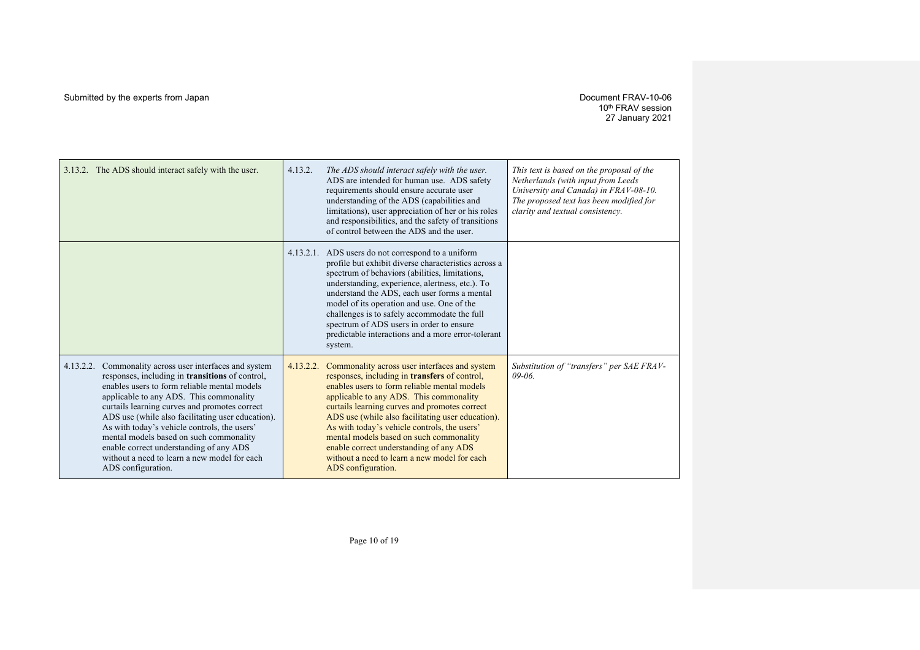| 3.13.2. The ADS should interact safely with the user.                                                                                                                                                                                                                                                                                                                                                                                                                                                                             | 4.13.2.   | The ADS should interact safely with the user.<br>ADS are intended for human use. ADS safety<br>requirements should ensure accurate user<br>understanding of the ADS (capabilities and<br>limitations), user appreciation of her or his roles<br>and responsibilities, and the safety of transitions<br>of control between the ADS and the user.                                                                                                                                                             | This text is based on the proposal of the<br>Netherlands (with input from Leeds<br>University and Canada) in FRAV-08-10.<br>The proposed text has been modified for<br>clarity and textual consistency. |
|-----------------------------------------------------------------------------------------------------------------------------------------------------------------------------------------------------------------------------------------------------------------------------------------------------------------------------------------------------------------------------------------------------------------------------------------------------------------------------------------------------------------------------------|-----------|-------------------------------------------------------------------------------------------------------------------------------------------------------------------------------------------------------------------------------------------------------------------------------------------------------------------------------------------------------------------------------------------------------------------------------------------------------------------------------------------------------------|---------------------------------------------------------------------------------------------------------------------------------------------------------------------------------------------------------|
|                                                                                                                                                                                                                                                                                                                                                                                                                                                                                                                                   |           | 4.13.2.1. ADS users do not correspond to a uniform<br>profile but exhibit diverse characteristics across a<br>spectrum of behaviors (abilities, limitations,<br>understanding, experience, alertness, etc.). To<br>understand the ADS, each user forms a mental<br>model of its operation and use. One of the<br>challenges is to safely accommodate the full<br>spectrum of ADS users in order to ensure<br>predictable interactions and a more error-tolerant<br>system.                                  |                                                                                                                                                                                                         |
| Commonality across user interfaces and system<br>4.13.2.2.<br>responses, including in <b>transitions</b> of control,<br>enables users to form reliable mental models<br>applicable to any ADS. This commonality<br>curtails learning curves and promotes correct<br>ADS use (while also facilitating user education).<br>As with today's vehicle controls, the users'<br>mental models based on such commonality<br>enable correct understanding of any ADS<br>without a need to learn a new model for each<br>ADS configuration. | 4.13.2.2. | Commonality across user interfaces and system<br>responses, including in transfers of control,<br>enables users to form reliable mental models<br>applicable to any ADS. This commonality<br>curtails learning curves and promotes correct<br>ADS use (while also facilitating user education).<br>As with today's vehicle controls, the users'<br>mental models based on such commonality<br>enable correct understanding of any ADS<br>without a need to learn a new model for each<br>ADS configuration. | Substitution of "transfers" per SAE FRAV-<br>$09 - 06$                                                                                                                                                  |

Page 10 of 19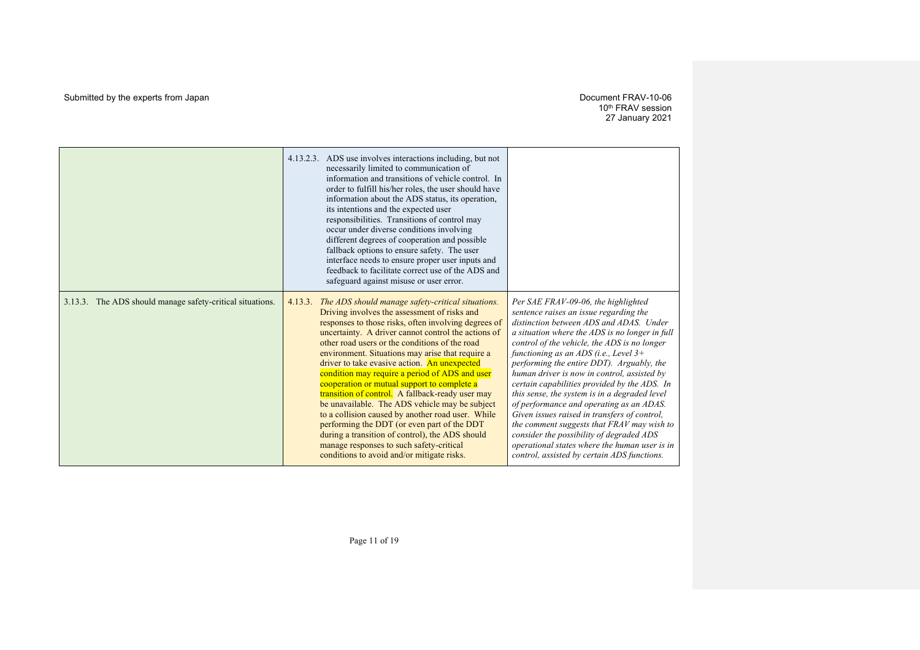|                                                           | ADS use involves interactions including, but not<br>4.13.2.3.<br>necessarily limited to communication of<br>information and transitions of vehicle control. In<br>order to fulfill his/her roles, the user should have<br>information about the ADS status, its operation,<br>its intentions and the expected user<br>responsibilities. Transitions of control may<br>occur under diverse conditions involving<br>different degrees of cooperation and possible<br>fallback options to ensure safety. The user<br>interface needs to ensure proper user inputs and<br>feedback to facilitate correct use of the ADS and<br>safeguard against misuse or user error.                                                                                                                                                                        |                                                                                                                                                                                                                                                                                                                                                                                                                                                                                                                                                                                                                                                                                                                                                          |
|-----------------------------------------------------------|-------------------------------------------------------------------------------------------------------------------------------------------------------------------------------------------------------------------------------------------------------------------------------------------------------------------------------------------------------------------------------------------------------------------------------------------------------------------------------------------------------------------------------------------------------------------------------------------------------------------------------------------------------------------------------------------------------------------------------------------------------------------------------------------------------------------------------------------|----------------------------------------------------------------------------------------------------------------------------------------------------------------------------------------------------------------------------------------------------------------------------------------------------------------------------------------------------------------------------------------------------------------------------------------------------------------------------------------------------------------------------------------------------------------------------------------------------------------------------------------------------------------------------------------------------------------------------------------------------------|
| 3.13.3. The ADS should manage safety-critical situations. | 4.13.3.<br>The ADS should manage safety-critical situations.<br>Driving involves the assessment of risks and<br>responses to those risks, often involving degrees of<br>uncertainty. A driver cannot control the actions of<br>other road users or the conditions of the road<br>environment. Situations may arise that require a<br>driver to take evasive action. An unexpected<br>condition may require a period of ADS and user<br>cooperation or mutual support to complete a<br>transition of control. A fallback-ready user may<br>be unavailable. The ADS vehicle may be subject<br>to a collision caused by another road user. While<br>performing the DDT (or even part of the DDT<br>during a transition of control), the ADS should<br>manage responses to such safety-critical<br>conditions to avoid and/or mitigate risks. | Per SAE FRAV-09-06, the highlighted<br>sentence raises an issue regarding the<br>distinction between ADS and ADAS. Under<br>a situation where the ADS is no longer in full<br>control of the vehicle, the ADS is no longer<br>functioning as an ADS (i.e., Level $3+$<br>performing the entire DDT). Arguably, the<br>human driver is now in control, assisted by<br>certain capabilities provided by the ADS. In<br>this sense, the system is in a degraded level<br>of performance and operating as an ADAS.<br>Given issues raised in transfers of control,<br>the comment suggests that FRAV may wish to<br>consider the possibility of degraded ADS<br>operational states where the human user is in<br>control, assisted by certain ADS functions. |

Page 11 of 19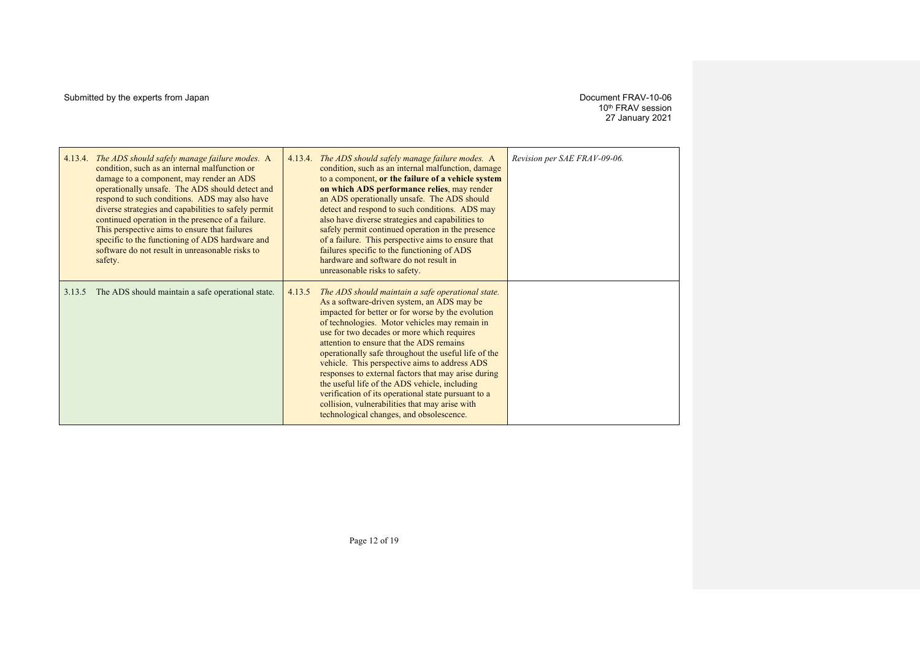10th FRAV session 27 January 2021

| 4.13.4. | The ADS should safely manage failure modes. A<br>condition, such as an internal malfunction or<br>damage to a component, may render an ADS<br>operationally unsafe. The ADS should detect and<br>respond to such conditions. ADS may also have<br>diverse strategies and capabilities to safely permit<br>continued operation in the presence of a failure.<br>This perspective aims to ensure that failures<br>specific to the functioning of ADS hardware and<br>software do not result in unreasonable risks to<br>safety. | 4.13.4. | The ADS should safely manage failure modes. A<br>condition, such as an internal malfunction, damage<br>to a component, or the failure of a vehicle system<br>on which ADS performance relies, may render<br>an ADS operationally unsafe. The ADS should<br>detect and respond to such conditions. ADS may<br>also have diverse strategies and capabilities to<br>safely permit continued operation in the presence<br>of a failure. This perspective aims to ensure that<br>failures specific to the functioning of ADS<br>hardware and software do not result in<br>unreasonable risks to safety.                                                                    | Revision per SAE FRAV-09-06. |
|---------|-------------------------------------------------------------------------------------------------------------------------------------------------------------------------------------------------------------------------------------------------------------------------------------------------------------------------------------------------------------------------------------------------------------------------------------------------------------------------------------------------------------------------------|---------|-----------------------------------------------------------------------------------------------------------------------------------------------------------------------------------------------------------------------------------------------------------------------------------------------------------------------------------------------------------------------------------------------------------------------------------------------------------------------------------------------------------------------------------------------------------------------------------------------------------------------------------------------------------------------|------------------------------|
| 3.13.5  | The ADS should maintain a safe operational state.                                                                                                                                                                                                                                                                                                                                                                                                                                                                             | 4.13.5  | The ADS should maintain a safe operational state.<br>As a software-driven system, an ADS may be<br>impacted for better or for worse by the evolution<br>of technologies. Motor vehicles may remain in<br>use for two decades or more which requires<br>attention to ensure that the ADS remains<br>operationally safe throughout the useful life of the<br>vehicle. This perspective aims to address ADS<br>responses to external factors that may arise during<br>the useful life of the ADS vehicle, including<br>verification of its operational state pursuant to a<br>collision, vulnerabilities that may arise with<br>technological changes, and obsolescence. |                              |

Page 12 of 19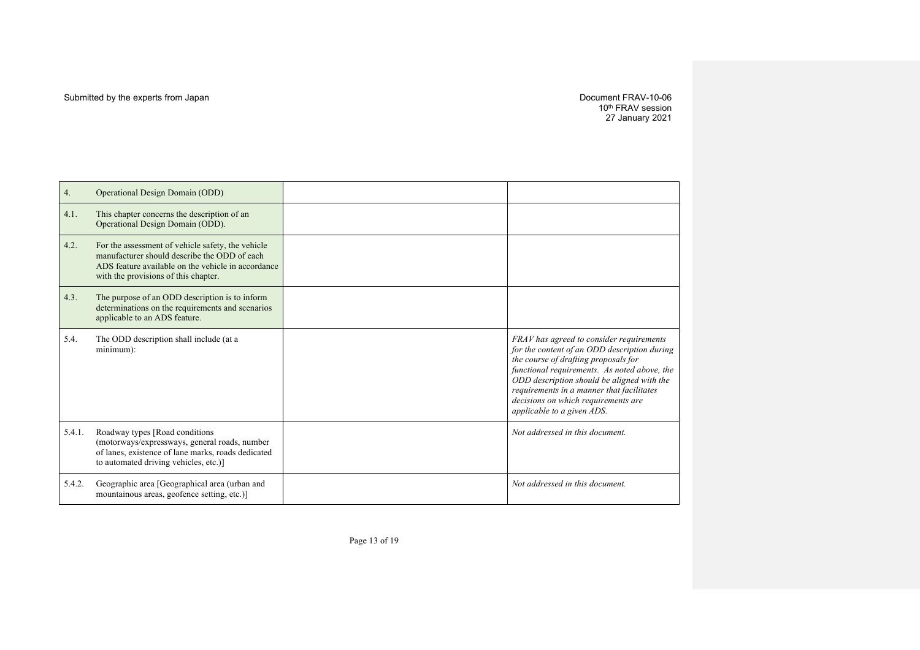10th FRAV session 27 January 2021

| 4.     | Operational Design Domain (ODD)                                                                                                                                                                 |                                                                                                                                                                                                                                                                                                                                                  |
|--------|-------------------------------------------------------------------------------------------------------------------------------------------------------------------------------------------------|--------------------------------------------------------------------------------------------------------------------------------------------------------------------------------------------------------------------------------------------------------------------------------------------------------------------------------------------------|
| 4.1.   | This chapter concerns the description of an<br>Operational Design Domain (ODD).                                                                                                                 |                                                                                                                                                                                                                                                                                                                                                  |
| 4.2.   | For the assessment of vehicle safety, the vehicle<br>manufacturer should describe the ODD of each<br>ADS feature available on the vehicle in accordance<br>with the provisions of this chapter. |                                                                                                                                                                                                                                                                                                                                                  |
| 4.3.   | The purpose of an ODD description is to inform<br>determinations on the requirements and scenarios<br>applicable to an ADS feature.                                                             |                                                                                                                                                                                                                                                                                                                                                  |
| 5.4.   | The ODD description shall include (at a<br>minimum):                                                                                                                                            | FRAV has agreed to consider requirements<br>for the content of an ODD description during<br>the course of drafting proposals for<br>functional requirements. As noted above, the<br>ODD description should be aligned with the<br>requirements in a manner that facilitates<br>decisions on which requirements are<br>applicable to a given ADS. |
| 5.4.1. | Roadway types [Road conditions<br>(motorways/expressways, general roads, number<br>of lanes, existence of lane marks, roads dedicated<br>to automated driving vehicles, etc.)]                  | Not addressed in this document.                                                                                                                                                                                                                                                                                                                  |
| 5.4.2. | Geographic area [Geographical area (urban and<br>mountainous areas, geofence setting, etc.)]                                                                                                    | Not addressed in this document.                                                                                                                                                                                                                                                                                                                  |

Page 13 of 19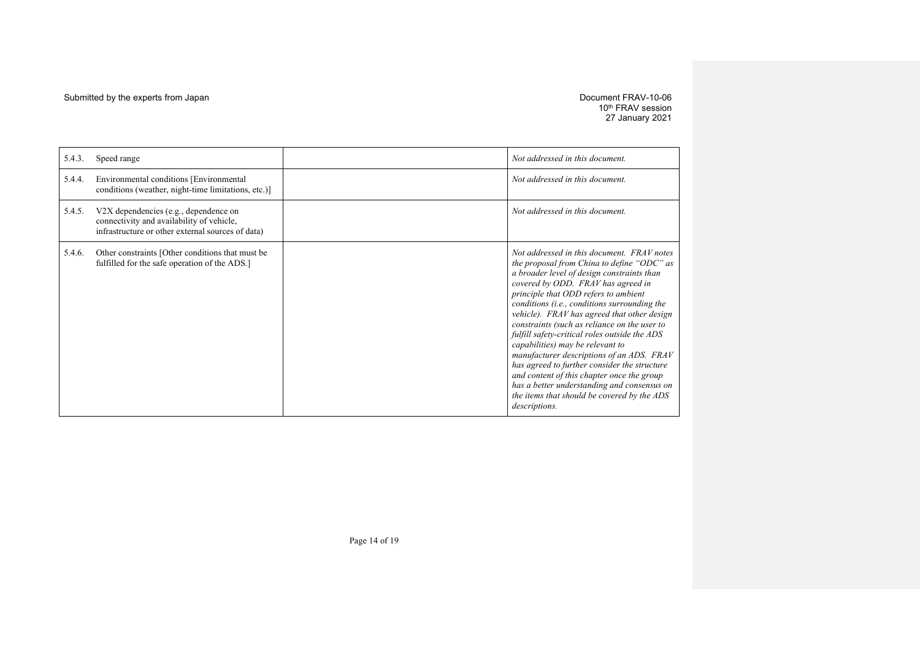10th FRAV session 27 January 2021

| 5.4.3. | Speed range                                                                                                                             | Not addressed in this document.                                                                                                                                                                                                                                                                                                                                                                                                                                                                                                                                                                                                                                                                                    |
|--------|-----------------------------------------------------------------------------------------------------------------------------------------|--------------------------------------------------------------------------------------------------------------------------------------------------------------------------------------------------------------------------------------------------------------------------------------------------------------------------------------------------------------------------------------------------------------------------------------------------------------------------------------------------------------------------------------------------------------------------------------------------------------------------------------------------------------------------------------------------------------------|
| 5.4.4. | Environmental conditions [Environmental]<br>conditions (weather, night-time limitations, etc.)]                                         | Not addressed in this document.                                                                                                                                                                                                                                                                                                                                                                                                                                                                                                                                                                                                                                                                                    |
| 5.4.5. | V2X dependencies (e.g., dependence on<br>connectivity and availability of vehicle,<br>infrastructure or other external sources of data) | Not addressed in this document.                                                                                                                                                                                                                                                                                                                                                                                                                                                                                                                                                                                                                                                                                    |
| 5.4.6. | Other constraints [Other conditions that must be<br>fulfilled for the safe operation of the ADS.]                                       | Not addressed in this document. FRAV notes<br>the proposal from China to define "ODC" as<br>a broader level of design constraints than<br>covered by ODD. FRAV has agreed in<br>principle that ODD refers to ambient<br>conditions (i.e., conditions surrounding the<br>vehicle). FRAV has agreed that other design<br>constraints (such as reliance on the user to<br>fulfill safety-critical roles outside the ADS<br>capabilities) may be relevant to<br>manufacturer descriptions of an ADS. FRAV<br>has agreed to further consider the structure<br>and content of this chapter once the group<br>has a better understanding and consensus on<br>the items that should be covered by the ADS<br>descriptions. |

Page 14 of 19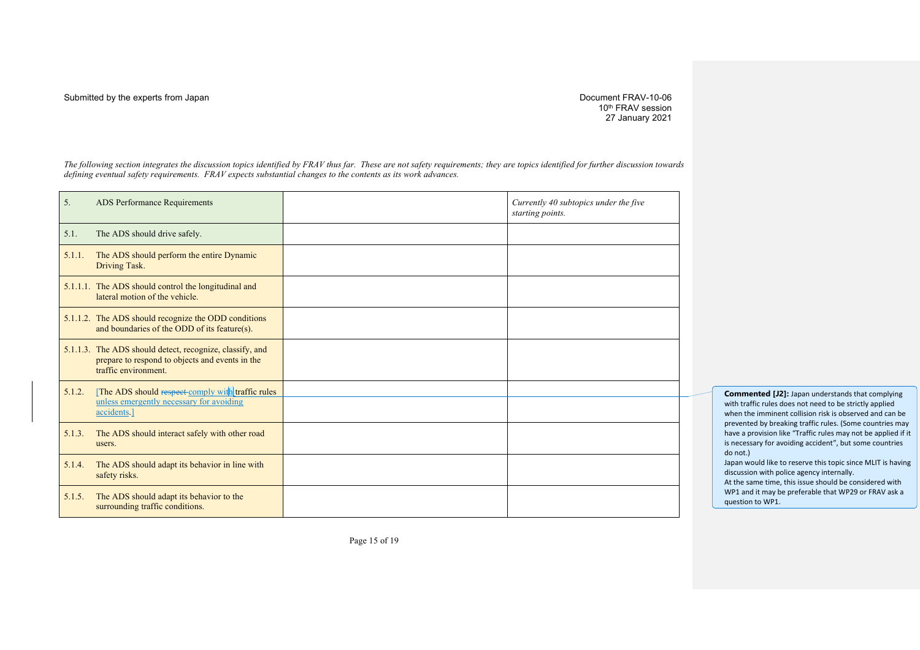#### Submitted by the experts from Japan **Document FRAV-10-06** Submitted by the experts from Japan Document FRAV-10-06

10<sup>th</sup> FRAV session 27 January 2021

*The following section integrates the discussion topics identified by FRAV thus far. These are not safety requirements; they are topics identified for further discussion towards defining eventual safety requirements. FRAV expects substantial changes to the contents as its work advances.*

| 5.     | ADS Performance Requirements                                                                                                        | Currently 40 subtopics under the five<br>starting points. |
|--------|-------------------------------------------------------------------------------------------------------------------------------------|-----------------------------------------------------------|
| 5.1.   | The ADS should drive safely.                                                                                                        |                                                           |
| 5.1.1. | The ADS should perform the entire Dynamic<br>Driving Task.                                                                          |                                                           |
|        | 5.1.1.1. The ADS should control the longitudinal and<br>lateral motion of the vehicle.                                              |                                                           |
|        | 5.1.1.2. The ADS should recognize the ODD conditions<br>and boundaries of the ODD of its feature(s).                                |                                                           |
|        | 5.1.1.3. The ADS should detect, recognize, classify, and<br>prepare to respond to objects and events in the<br>traffic environment. |                                                           |
| 5.1.2. | [The ADS should respect-comply with traffic rules<br>unless emergently necessary for avoiding<br>accidents.]                        |                                                           |
| 5.1.3. | The ADS should interact safely with other road<br>users.                                                                            |                                                           |
| 5.1.4. | The ADS should adapt its behavior in line with<br>safety risks.                                                                     |                                                           |
| 5.1.5. | The ADS should adapt its behavior to the<br>surrounding traffic conditions.                                                         |                                                           |

**Commented [J2]:** Japan understands that complying with traffic rules does not need to be strictly applied when the imminent collision risk is observed and can be prevented by breaking traffic rules. (Some countries may have a provision like "Traffic rules may not be applied if it is necessary for avoiding accident", but some countries do not.) Japan would like to reserve this topic since MLIT is having

discussion with police agency internally. At the same time, this issue should be considered with WP1 and it may be preferable that WP29 or FRAV ask a

question to WP1.

Page 15 of 19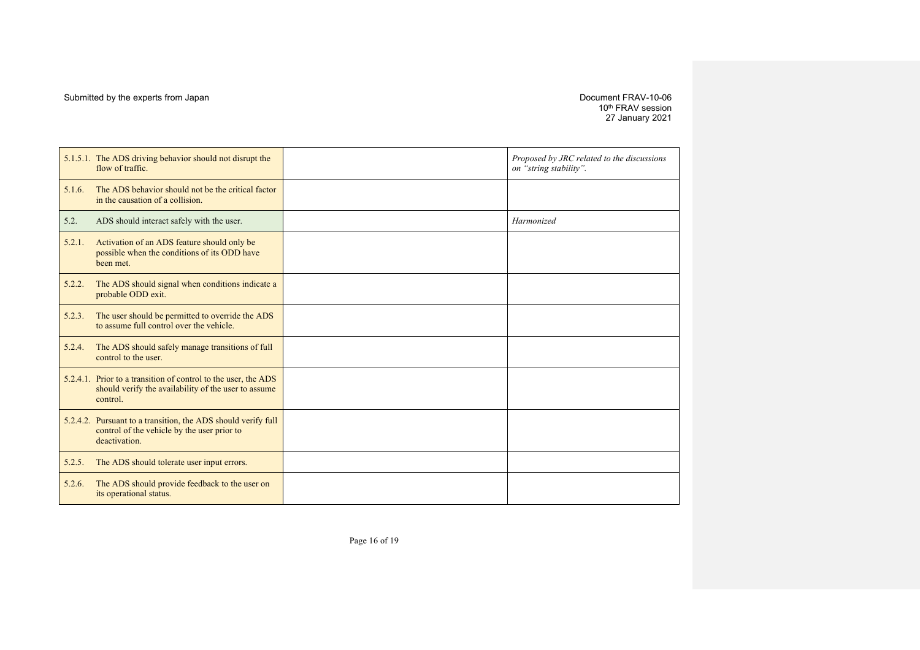10th FRAV session 27 January 2021

|        | 5.1.5.1. The ADS driving behavior should not disrupt the<br>flow of traffic.                                                       | Proposed by JRC related to the discussions<br>on "string stability". |
|--------|------------------------------------------------------------------------------------------------------------------------------------|----------------------------------------------------------------------|
| 5.1.6. | The ADS behavior should not be the critical factor<br>in the causation of a collision.                                             |                                                                      |
| 5.2.   | ADS should interact safely with the user.                                                                                          | Harmonized                                                           |
| 5.2.1. | Activation of an ADS feature should only be<br>possible when the conditions of its ODD have<br>been met.                           |                                                                      |
| 5.2.2. | The ADS should signal when conditions indicate a<br>probable ODD exit.                                                             |                                                                      |
| 5.2.3. | The user should be permitted to override the ADS<br>to assume full control over the vehicle.                                       |                                                                      |
| 5.2.4. | The ADS should safely manage transitions of full<br>control to the user.                                                           |                                                                      |
|        | 5.2.4.1. Prior to a transition of control to the user, the ADS<br>should verify the availability of the user to assume<br>control. |                                                                      |
|        | 5.2.4.2. Pursuant to a transition, the ADS should verify full<br>control of the vehicle by the user prior to<br>deactivation.      |                                                                      |
| 5.2.5. | The ADS should tolerate user input errors.                                                                                         |                                                                      |
| 5.2.6. | The ADS should provide feedback to the user on<br>its operational status.                                                          |                                                                      |

Page 16 of 19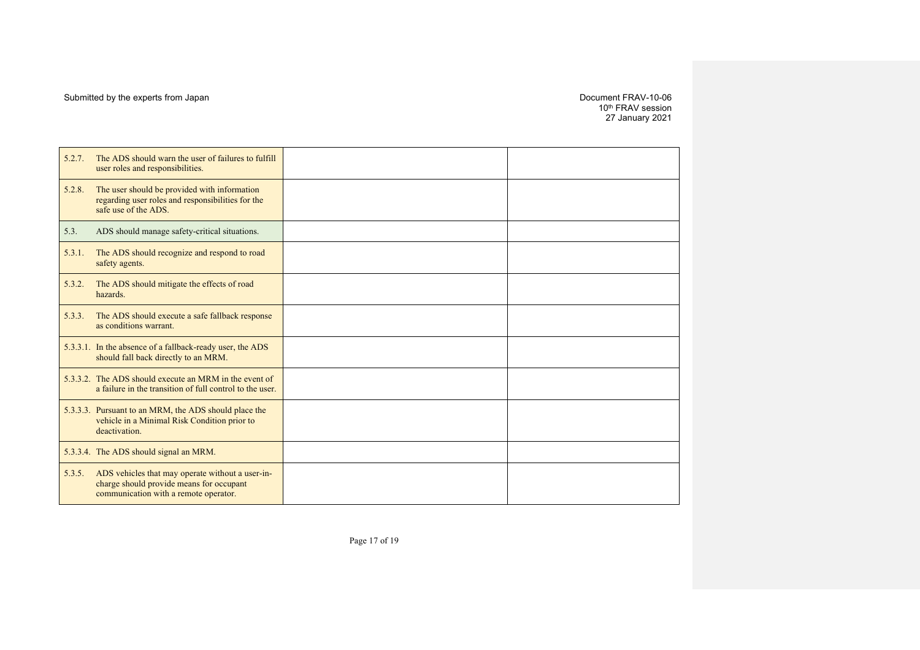10th FRAV session 27 January 2021

| 5.2.7. | The ADS should warn the user of failures to fulfill<br>user roles and responsibilities.                                               |  |
|--------|---------------------------------------------------------------------------------------------------------------------------------------|--|
| 5.2.8. | The user should be provided with information<br>regarding user roles and responsibilities for the<br>safe use of the ADS.             |  |
| 5.3.   | ADS should manage safety-critical situations.                                                                                         |  |
| 5.3.1. | The ADS should recognize and respond to road<br>safety agents.                                                                        |  |
| 5.3.2. | The ADS should mitigate the effects of road<br>hazards.                                                                               |  |
| 5.3.3. | The ADS should execute a safe fallback response<br>as conditions warrant.                                                             |  |
|        | 5.3.3.1. In the absence of a fallback-ready user, the ADS<br>should fall back directly to an MRM.                                     |  |
|        | 5.3.3.2. The ADS should execute an MRM in the event of<br>a failure in the transition of full control to the user.                    |  |
|        | 5.3.3.3. Pursuant to an MRM, the ADS should place the<br>vehicle in a Minimal Risk Condition prior to<br>deactivation.                |  |
|        | 5.3.3.4. The ADS should signal an MRM.                                                                                                |  |
| 5.3.5. | ADS vehicles that may operate without a user-in-<br>charge should provide means for occupant<br>communication with a remote operator. |  |

Page 17 of 19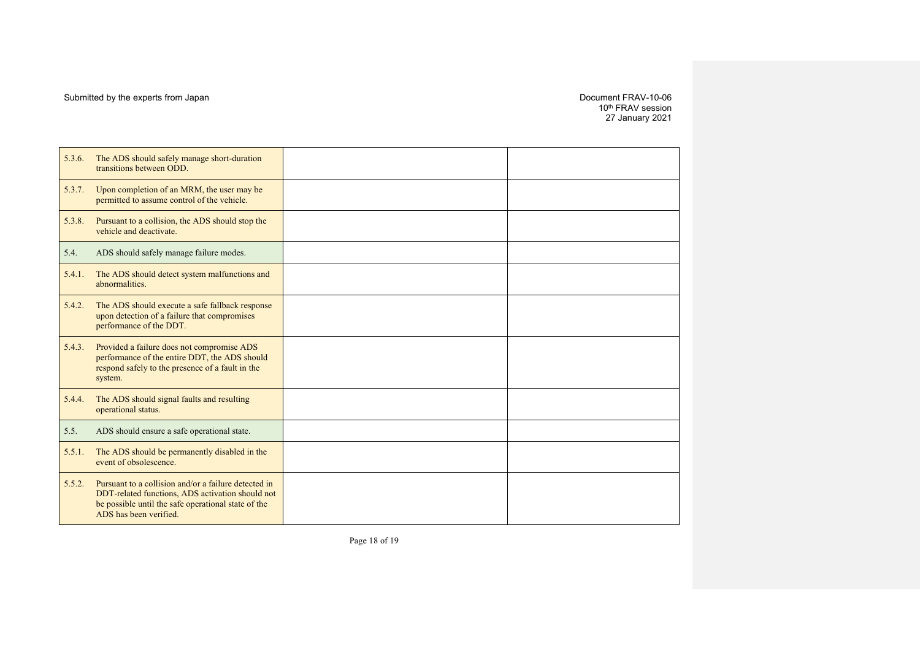10th FRAV session 27 January 2021

| 5.3.6. | The ADS should safely manage short-duration<br>transitions between ODD.                                                                                                                   |  |
|--------|-------------------------------------------------------------------------------------------------------------------------------------------------------------------------------------------|--|
| 5.3.7. | Upon completion of an MRM, the user may be<br>permitted to assume control of the vehicle.                                                                                                 |  |
| 5.3.8. | Pursuant to a collision, the ADS should stop the<br>vehicle and deactivate.                                                                                                               |  |
| 5.4.   | ADS should safely manage failure modes.                                                                                                                                                   |  |
| 5.4.1. | The ADS should detect system malfunctions and<br>abnormalities.                                                                                                                           |  |
| 5.4.2. | The ADS should execute a safe fallback response<br>upon detection of a failure that compromises<br>performance of the DDT.                                                                |  |
| 5.4.3. | Provided a failure does not compromise ADS<br>performance of the entire DDT, the ADS should<br>respond safely to the presence of a fault in the<br>system.                                |  |
| 5.4.4. | The ADS should signal faults and resulting<br>operational status.                                                                                                                         |  |
| 5.5.   | ADS should ensure a safe operational state.                                                                                                                                               |  |
| 5.5.1. | The ADS should be permanently disabled in the<br>event of obsolescence.                                                                                                                   |  |
| 5.5.2. | Pursuant to a collision and/or a failure detected in<br>DDT-related functions, ADS activation should not<br>be possible until the safe operational state of the<br>ADS has been verified. |  |

Page 18 of 19